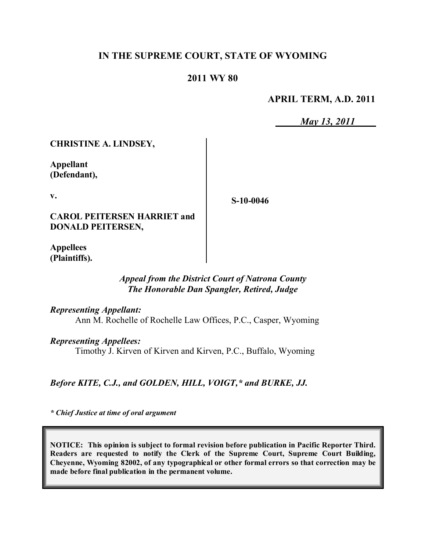# **IN THE SUPREME COURT, STATE OF WYOMING**

## **2011 WY 80**

## **APRIL TERM, A.D. 2011**

*May 13, 2011*

**CHRISTINE A. LINDSEY,**

**Appellant (Defendant),**

**v.**

**S-10-0046**

**CAROL PEITERSEN HARRIET and DONALD PEITERSEN,**

**Appellees (Plaintiffs).**

### *Appeal from the District Court of Natrona County The Honorable Dan Spangler, Retired, Judge*

*Representing Appellant:*

Ann M. Rochelle of Rochelle Law Offices, P.C., Casper, Wyoming

*Representing Appellees:*

Timothy J. Kirven of Kirven and Kirven, P.C., Buffalo, Wyoming

*Before KITE, C.J., and GOLDEN, HILL, VOIGT,\* and BURKE, JJ.*

*\* Chief Justice at time of oral argument*

**NOTICE: This opinion is subject to formal revision before publication in Pacific Reporter Third. Readers are requested to notify the Clerk of the Supreme Court, Supreme Court Building, Cheyenne, Wyoming 82002, of any typographical or other formal errors so that correction may be made before final publication in the permanent volume.**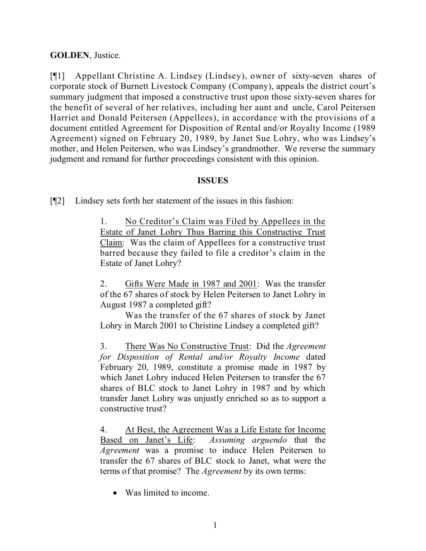# **GOLDEN**, Justice.

[¶1] Appellant Christine A. Lindsey (Lindsey), owner of sixty-seven shares of corporate stock of Burnett Livestock Company (Company), appeals the district court's summary judgment that imposed a constructive trust upon those sixty-seven shares for the benefit of several of her relatives, including her aunt and uncle, Carol Peitersen Harriet and Donald Peitersen (Appellees), in accordance with the provisions of a document entitled Agreement for Disposition of Rental and/or Royalty Income (1989 Agreement) signed on February 20, 1989, by Janet Sue Lohry, who was Lindsey's mother, and Helen Peitersen, who was Lindsey's grandmother. We reverse the summary judgment and remand for further proceedings consistent with this opinion.

## **ISSUES**

[¶2] Lindsey sets forth her statement of the issues in this fashion:

1. No Creditor's Claim was Filed by Appellees in the Estate of Janet Lohry Thus Barring this Constructive Trust Claim: Was the claim of Appellees for a constructive trust barred because they failed to file a creditor's claim in the Estate of Janet Lohry?

2. Gifts Were Made in 1987 and 2001: Was the transfer of the 67 shares of stock by Helen Peitersen to Janet Lohry in August 1987 a completed gift?

Was the transfer of the 67 shares of stock by Janet Lohry in March 2001 to Christine Lindsey a completed gift?

3. There Was No Constructive Trust: Did the *Agreement for Disposition of Rental and/or Royalty Income* dated February 20, 1989, constitute a promise made in 1987 by which Janet Lohry induced Helen Peitersen to transfer the 67 shares of BLC stock to Janet Lohry in 1987 and by which transfer Janet Lohry was unjustly enriched so as to support a constructive trust?

4. At Best, the Agreement Was a Life Estate for Income Based on Janet's Life: *Assuming arguendo* that the *Agreement* was a promise to induce Helen Peitersen to transfer the 67 shares of BLC stock to Janet, what were the terms of that promise? The *Agreement* by its own terms:

• Was limited to income.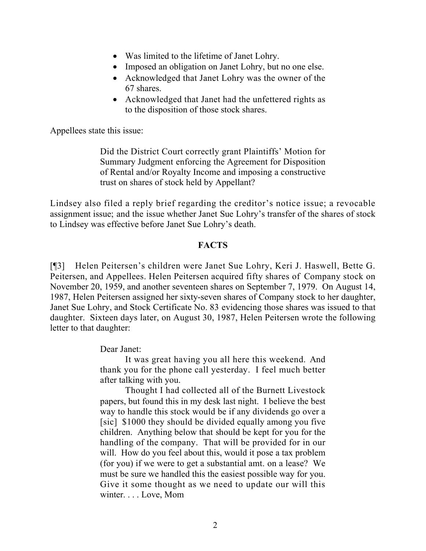- Was limited to the lifetime of Janet Lohry.
- Imposed an obligation on Janet Lohry, but no one else.
- Acknowledged that Janet Lohry was the owner of the 67 shares.
- Acknowledged that Janet had the unfettered rights as to the disposition of those stock shares.

Appellees state this issue:

Did the District Court correctly grant Plaintiffs' Motion for Summary Judgment enforcing the Agreement for Disposition of Rental and/or Royalty Income and imposing a constructive trust on shares of stock held by Appellant?

Lindsey also filed a reply brief regarding the creditor's notice issue; a revocable assignment issue; and the issue whether Janet Sue Lohry's transfer of the shares of stock to Lindsey was effective before Janet Sue Lohry's death.

#### **FACTS**

[¶3] Helen Peitersen's children were Janet Sue Lohry, Keri J. Haswell, Bette G. Peitersen, and Appellees. Helen Peitersen acquired fifty shares of Company stock on November 20, 1959, and another seventeen shares on September 7, 1979. On August 14, 1987, Helen Peitersen assigned her sixty-seven shares of Company stock to her daughter, Janet Sue Lohry, and Stock Certificate No. 83 evidencing those shares was issued to that daughter. Sixteen days later, on August 30, 1987, Helen Peitersen wrote the following letter to that daughter:

Dear Janet:

It was great having you all here this weekend. And thank you for the phone call yesterday. I feel much better after talking with you.

Thought I had collected all of the Burnett Livestock papers, but found this in my desk last night. I believe the best way to handle this stock would be if any dividends go over a [sic] \$1000 they should be divided equally among you five children. Anything below that should be kept for you for the handling of the company. That will be provided for in our will. How do you feel about this, would it pose a tax problem (for you) if we were to get a substantial amt. on a lease? We must be sure we handled this the easiest possible way for you. Give it some thought as we need to update our will this winter. . . . Love, Mom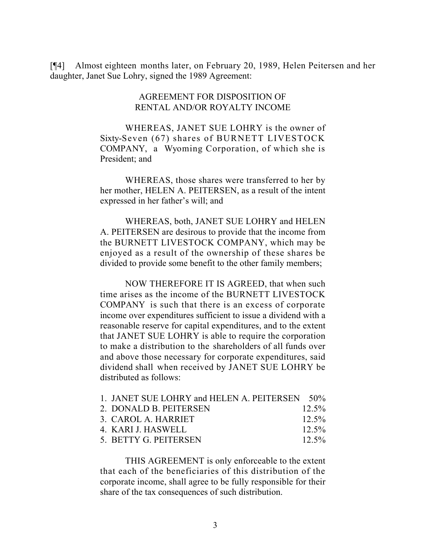[¶4] Almost eighteen months later, on February 20, 1989, Helen Peitersen and her daughter, Janet Sue Lohry, signed the 1989 Agreement:

#### AGREEMENT FOR DISPOSITION OF RENTAL AND/OR ROYALTY INCOME

WHEREAS, JANET SUE LOHRY is the owner of Sixty-Seven (67) shares of BURNETT LIVESTOCK COMPANY, a Wyoming Corporation, of which she is President; and

WHEREAS, those shares were transferred to her by her mother, HELEN A. PEITERSEN, as a result of the intent expressed in her father's will; and

WHEREAS, both, JANET SUE LOHRY and HELEN A. PEITERSEN are desirous to provide that the income from the BURNETT LIVESTOCK COMPANY, which may be enjoyed as a result of the ownership of these shares be divided to provide some benefit to the other family members;

NOW THEREFORE IT IS AGREED, that when such time arises as the income of the BURNETT LIVESTOCK COMPANY is such that there is an excess of corporate income over expenditures sufficient to issue a dividend with a reasonable reserve for capital expenditures, and to the extent that JANET SUE LOHRY is able to require the corporation to make a distribution to the shareholders of all funds over and above those necessary for corporate expenditures, said dividend shall when received by JANET SUE LOHRY be distributed as follows:

| 1. JANET SUE LOHRY and HELEN A. PEITERSEN 50% |          |
|-----------------------------------------------|----------|
| 2. DONALD B. PEITERSEN                        | $12.5\%$ |
| 3. CAROL A. HARRIET                           | $12.5\%$ |
| 4. KARI J. HASWELL                            | $12.5\%$ |
| 5. BETTY G. PEITERSEN                         | $12.5\%$ |

THIS AGREEMENT is only enforceable to the extent that each of the beneficiaries of this distribution of the corporate income, shall agree to be fully responsible for their share of the tax consequences of such distribution.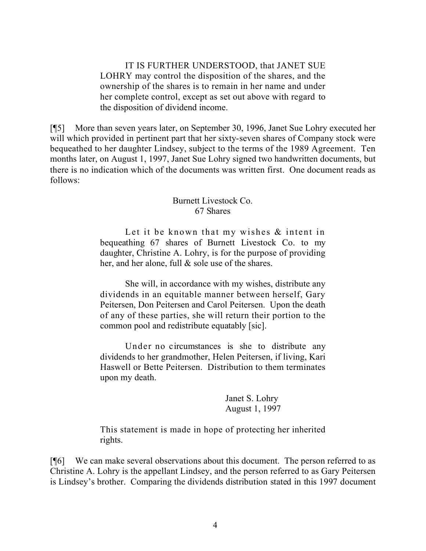IT IS FURTHER UNDERSTOOD, that JANET SUE LOHRY may control the disposition of the shares, and the ownership of the shares is to remain in her name and under her complete control, except as set out above with regard to the disposition of dividend income.

[¶5] More than seven years later, on September 30, 1996, Janet Sue Lohry executed her will which provided in pertinent part that her sixty-seven shares of Company stock were bequeathed to her daughter Lindsey, subject to the terms of the 1989 Agreement. Ten months later, on August 1, 1997, Janet Sue Lohry signed two handwritten documents, but there is no indication which of the documents was written first. One document reads as follows:

## Burnett Livestock Co. 67 Shares

Let it be known that my wishes  $\&$  intent in bequeathing 67 shares of Burnett Livestock Co. to my daughter, Christine A. Lohry, is for the purpose of providing her, and her alone, full & sole use of the shares.

She will, in accordance with my wishes, distribute any dividends in an equitable manner between herself, Gary Peitersen, Don Peitersen and Carol Peitersen. Upon the death of any of these parties, she will return their portion to the common pool and redistribute equatably [sic].

Under no circumstances is she to distribute any dividends to her grandmother, Helen Peitersen, if living, Kari Haswell or Bette Peitersen. Distribution to them terminates upon my death.

> Janet S. Lohry August 1, 1997

This statement is made in hope of protecting her inherited rights.

[¶6] We can make several observations about this document. The person referred to as Christine A. Lohry is the appellant Lindsey, and the person referred to as Gary Peitersen is Lindsey's brother. Comparing the dividends distribution stated in this 1997 document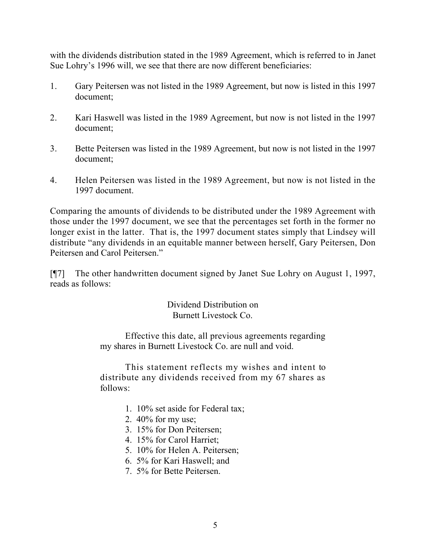with the dividends distribution stated in the 1989 Agreement, which is referred to in Janet Sue Lohry's 1996 will, we see that there are now different beneficiaries:

- 1. Gary Peitersen was not listed in the 1989 Agreement, but now is listed in this 1997 document;
- 2. Kari Haswell was listed in the 1989 Agreement, but now is not listed in the 1997 document;
- 3. Bette Peitersen was listed in the 1989 Agreement, but now is not listed in the 1997 document;
- 4. Helen Peitersen was listed in the 1989 Agreement, but now is not listed in the 1997 document.

Comparing the amounts of dividends to be distributed under the 1989 Agreement with those under the 1997 document, we see that the percentages set forth in the former no longer exist in the latter. That is, the 1997 document states simply that Lindsey will distribute "any dividends in an equitable manner between herself, Gary Peitersen, Don Peitersen and Carol Peitersen."

[¶7] The other handwritten document signed by Janet Sue Lohry on August 1, 1997, reads as follows:

> Dividend Distribution on Burnett Livestock Co.

Effective this date, all previous agreements regarding my shares in Burnett Livestock Co. are null and void.

This statement reflects my wishes and intent to distribute any dividends received from my 67 shares as follows:

- 1. 10% set aside for Federal tax;
- 2. 40% for my use;
- 3. 15% for Don Peitersen;
- 4. 15% for Carol Harriet;
- 5. 10% for Helen A. Peitersen;
- 6. 5% for Kari Haswell; and
- 7. 5% for Bette Peitersen.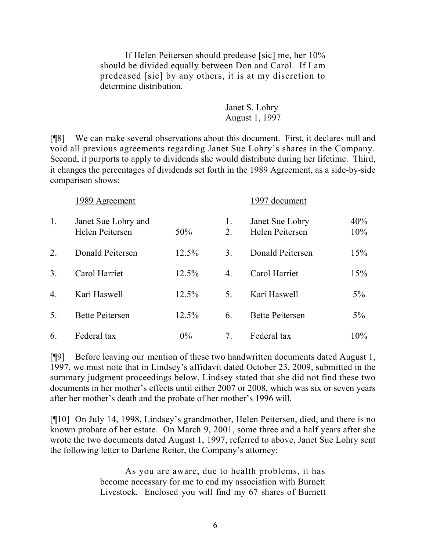If Helen Peitersen should predease [sic] me, her 10% should be divided equally between Don and Carol. If I am predeased [sic] by any others, it is at my discretion to determine distribution.

> Janet S. Lohry August 1, 1997

[¶8] We can make several observations about this document. First, it declares null and void all previous agreements regarding Janet Sue Lohry's shares in the Company. Second, it purports to apply to dividends she would distribute during her lifetime. Third, it changes the percentages of dividends set forth in the 1989 Agreement, as a side-by-side comparison shows:

|                  | 1989 Agreement                         |       | 1997 document  |                                    |            |
|------------------|----------------------------------------|-------|----------------|------------------------------------|------------|
| 1.               | Janet Sue Lohry and<br>Helen Peitersen | 50%   | 1.<br>2.       | Janet Sue Lohry<br>Helen Peitersen | 40%<br>10% |
| 2.               | Donald Peitersen                       | 12.5% | 3 <sub>1</sub> | Donald Peitersen                   | 15%        |
| 3 <sub>1</sub>   | Carol Harriet                          | 12.5% | 4.             | Carol Harriet                      | 15%        |
| $\overline{4}$ . | Kari Haswell                           | 12.5% | 5.             | Kari Haswell                       | 5%         |
| 5.               | <b>Bette Peitersen</b>                 | 12.5% | 6.             | <b>Bette Peitersen</b>             | $5\%$      |
| 6.               | Federal tax                            | 0%    | 7.             | Federal tax                        | 10%        |

[¶9] Before leaving our mention of these two handwritten documents dated August 1, 1997, we must note that in Lindsey's affidavit dated October 23, 2009, submitted in the summary judgment proceedings below, Lindsey stated that she did not find these two documents in her mother's effects until either 2007 or 2008, which was six or seven years after her mother's death and the probate of her mother's 1996 will.

[¶10] On July 14, 1998, Lindsey's grandmother, Helen Peitersen, died, and there is no known probate of her estate. On March 9, 2001, some three and a half years after she wrote the two documents dated August 1, 1997, referred to above, Janet Sue Lohry sent the following letter to Darlene Reiter, the Company's attorney:

> As you are aware, due to health problems, it has become necessary for me to end my association with Burnett Livestock. Enclosed you will find my 67 shares of Burnett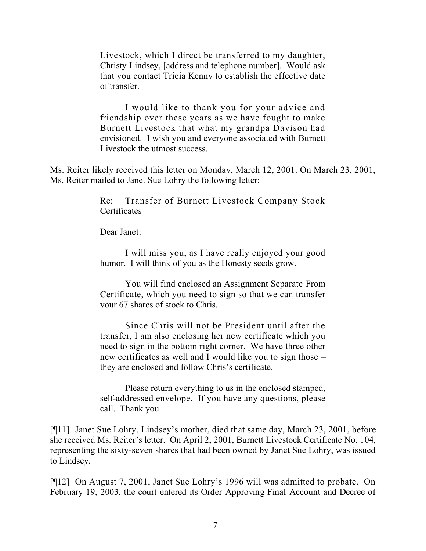Livestock, which I direct be transferred to my daughter, Christy Lindsey, [address and telephone number]. Would ask that you contact Tricia Kenny to establish the effective date of transfer.

I would like to thank you for your advice and friendship over these years as we have fought to make Burnett Livestock that what my grandpa Davison had envisioned. I wish you and everyone associated with Burnett Livestock the utmost success.

Ms. Reiter likely received this letter on Monday, March 12, 2001. On March 23, 2001, Ms. Reiter mailed to Janet Sue Lohry the following letter:

> Re: Transfer of Burnett Livestock Company Stock **Certificates**

Dear Janet:

I will miss you, as I have really enjoyed your good humor. I will think of you as the Honesty seeds grow.

You will find enclosed an Assignment Separate From Certificate, which you need to sign so that we can transfer your 67 shares of stock to Chris.

Since Chris will not be President until after the transfer, I am also enclosing her new certificate which you need to sign in the bottom right corner. We have three other new certificates as well and I would like you to sign those – they are enclosed and follow Chris's certificate.

Please return everything to us in the enclosed stamped, self-addressed envelope. If you have any questions, please call. Thank you.

[¶11] Janet Sue Lohry, Lindsey's mother, died that same day, March 23, 2001, before she received Ms. Reiter's letter. On April 2, 2001, Burnett Livestock Certificate No. 104, representing the sixty-seven shares that had been owned by Janet Sue Lohry, was issued to Lindsey.

[¶12] On August 7, 2001, Janet Sue Lohry's 1996 will was admitted to probate. On February 19, 2003, the court entered its Order Approving Final Account and Decree of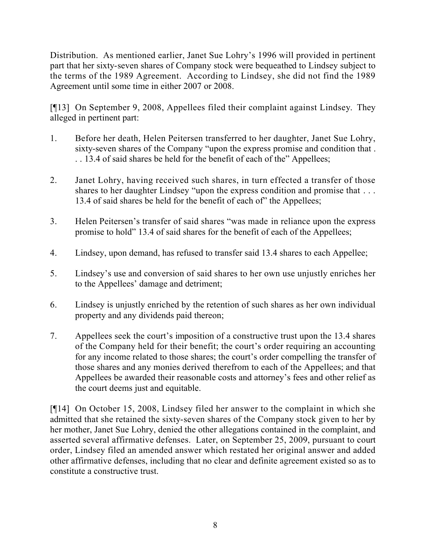Distribution. As mentioned earlier, Janet Sue Lohry's 1996 will provided in pertinent part that her sixty-seven shares of Company stock were bequeathed to Lindsey subject to the terms of the 1989 Agreement. According to Lindsey, she did not find the 1989 Agreement until some time in either 2007 or 2008.

[¶13] On September 9, 2008, Appellees filed their complaint against Lindsey. They alleged in pertinent part:

- 1. Before her death, Helen Peitersen transferred to her daughter, Janet Sue Lohry, sixty-seven shares of the Company "upon the express promise and condition that . . . 13.4 of said shares be held for the benefit of each of the" Appellees;
- 2. Janet Lohry, having received such shares, in turn effected a transfer of those shares to her daughter Lindsey "upon the express condition and promise that . . . 13.4 of said shares be held for the benefit of each of" the Appellees;
- 3. Helen Peitersen's transfer of said shares "was made in reliance upon the express promise to hold" 13.4 of said shares for the benefit of each of the Appellees;
- 4. Lindsey, upon demand, has refused to transfer said 13.4 shares to each Appellee;
- 5. Lindsey's use and conversion of said shares to her own use unjustly enriches her to the Appellees' damage and detriment;
- 6. Lindsey is unjustly enriched by the retention of such shares as her own individual property and any dividends paid thereon;
- 7. Appellees seek the court's imposition of a constructive trust upon the 13.4 shares of the Company held for their benefit; the court's order requiring an accounting for any income related to those shares; the court's order compelling the transfer of those shares and any monies derived therefrom to each of the Appellees; and that Appellees be awarded their reasonable costs and attorney's fees and other relief as the court deems just and equitable.

[¶14] On October 15, 2008, Lindsey filed her answer to the complaint in which she admitted that she retained the sixty-seven shares of the Company stock given to her by her mother, Janet Sue Lohry, denied the other allegations contained in the complaint, and asserted several affirmative defenses. Later, on September 25, 2009, pursuant to court order, Lindsey filed an amended answer which restated her original answer and added other affirmative defenses, including that no clear and definite agreement existed so as to constitute a constructive trust.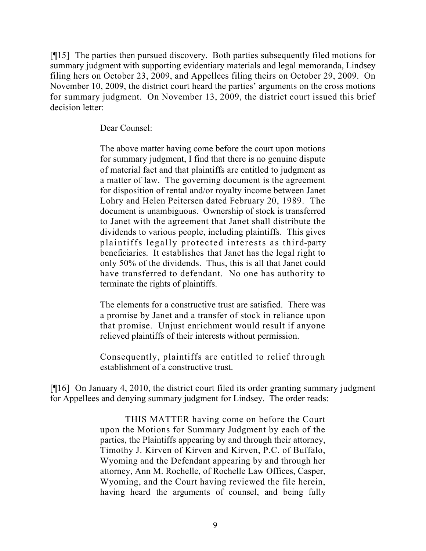[¶15] The parties then pursued discovery. Both parties subsequently filed motions for summary judgment with supporting evidentiary materials and legal memoranda, Lindsey filing hers on October 23, 2009, and Appellees filing theirs on October 29, 2009. On November 10, 2009, the district court heard the parties' arguments on the cross motions for summary judgment. On November 13, 2009, the district court issued this brief decision letter:

Dear Counsel:

The above matter having come before the court upon motions for summary judgment, I find that there is no genuine dispute of material fact and that plaintiffs are entitled to judgment as a matter of law. The governing document is the agreement for disposition of rental and/or royalty income between Janet Lohry and Helen Peitersen dated February 20, 1989. The document is unambiguous. Ownership of stock is transferred to Janet with the agreement that Janet shall distribute the dividends to various people, including plaintiffs. This gives plaintiffs legally protected interests as third-party beneficiaries. It establishes that Janet has the legal right to only 50% of the dividends. Thus, this is all that Janet could have transferred to defendant. No one has authority to terminate the rights of plaintiffs.

The elements for a constructive trust are satisfied. There was a promise by Janet and a transfer of stock in reliance upon that promise. Unjust enrichment would result if anyone relieved plaintiffs of their interests without permission.

Consequently, plaintiffs are entitled to relief through establishment of a constructive trust.

[¶16] On January 4, 2010, the district court filed its order granting summary judgment for Appellees and denying summary judgment for Lindsey. The order reads:

> THIS MATTER having come on before the Court upon the Motions for Summary Judgment by each of the parties, the Plaintiffs appearing by and through their attorney, Timothy J. Kirven of Kirven and Kirven, P.C. of Buffalo, Wyoming and the Defendant appearing by and through her attorney, Ann M. Rochelle, of Rochelle Law Offices, Casper, Wyoming, and the Court having reviewed the file herein, having heard the arguments of counsel, and being fully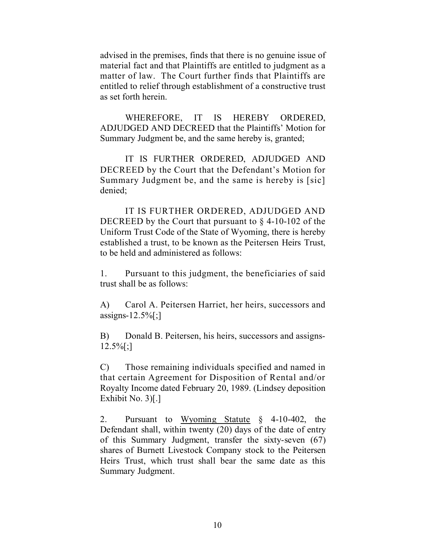advised in the premises, finds that there is no genuine issue of material fact and that Plaintiffs are entitled to judgment as a matter of law. The Court further finds that Plaintiffs are entitled to relief through establishment of a constructive trust as set forth herein.

WHEREFORE, IT IS HEREBY ORDERED, ADJUDGED AND DECREED that the Plaintiffs' Motion for Summary Judgment be, and the same hereby is, granted;

IT IS FURTHER ORDERED, ADJUDGED AND DECREED by the Court that the Defendant's Motion for Summary Judgment be, and the same is hereby is [sic] denied;

IT IS FURTHER ORDERED, ADJUDGED AND DECREED by the Court that pursuant to § 4-10-102 of the Uniform Trust Code of the State of Wyoming, there is hereby established a trust, to be known as the Peitersen Heirs Trust, to be held and administered as follows:

1. Pursuant to this judgment, the beneficiaries of said trust shall be as follows:

A) Carol A. Peitersen Harriet, her heirs, successors and assigns- $12.5\%$ [;]

B) Donald B. Peitersen, his heirs, successors and assigns- $12.5\%$ [;]

C) Those remaining individuals specified and named in that certain Agreement for Disposition of Rental and/or Royalty Income dated February 20, 1989. (Lindsey deposition Exhibit No. 3)[.]

2. Pursuant to Wyoming Statute § 4-10-402, the Defendant shall, within twenty (20) days of the date of entry of this Summary Judgment, transfer the sixty-seven (67) shares of Burnett Livestock Company stock to the Peitersen Heirs Trust, which trust shall bear the same date as this Summary Judgment.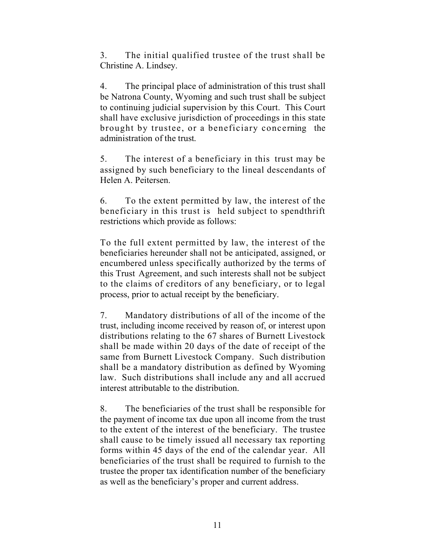3. The initial qualified trustee of the trust shall be Christine A. Lindsey.

4. The principal place of administration of this trust shall be Natrona County, Wyoming and such trust shall be subject to continuing judicial supervision by this Court. This Court shall have exclusive jurisdiction of proceedings in this state brought by trustee, or a beneficiary concerning the administration of the trust.

5. The interest of a beneficiary in this trust may be assigned by such beneficiary to the lineal descendants of Helen A. Peitersen.

6. To the extent permitted by law, the interest of the beneficiary in this trust is held subject to spendthrift restrictions which provide as follows:

To the full extent permitted by law, the interest of the beneficiaries hereunder shall not be anticipated, assigned, or encumbered unless specifically authorized by the terms of this Trust Agreement, and such interests shall not be subject to the claims of creditors of any beneficiary, or to legal process, prior to actual receipt by the beneficiary.

7. Mandatory distributions of all of the income of the trust, including income received by reason of, or interest upon distributions relating to the 67 shares of Burnett Livestock shall be made within 20 days of the date of receipt of the same from Burnett Livestock Company. Such distribution shall be a mandatory distribution as defined by Wyoming law. Such distributions shall include any and all accrued interest attributable to the distribution.

8. The beneficiaries of the trust shall be responsible for the payment of income tax due upon all income from the trust to the extent of the interest of the beneficiary. The trustee shall cause to be timely issued all necessary tax reporting forms within 45 days of the end of the calendar year. All beneficiaries of the trust shall be required to furnish to the trustee the proper tax identification number of the beneficiary as well as the beneficiary's proper and current address.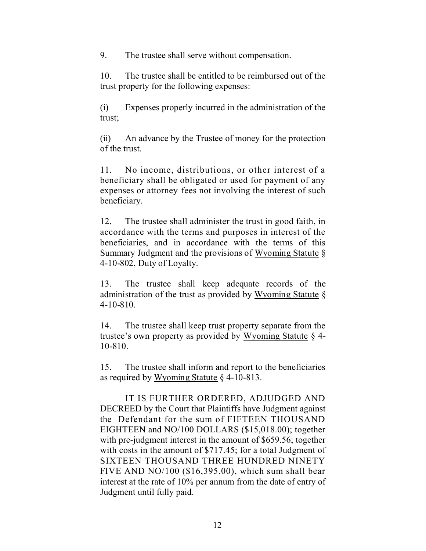9. The trustee shall serve without compensation.

10. The trustee shall be entitled to be reimbursed out of the trust property for the following expenses:

(i) Expenses properly incurred in the administration of the trust;

(ii) An advance by the Trustee of money for the protection of the trust.

11. No income, distributions, or other interest of a beneficiary shall be obligated or used for payment of any expenses or attorney fees not involving the interest of such beneficiary.

12. The trustee shall administer the trust in good faith, in accordance with the terms and purposes in interest of the beneficiaries, and in accordance with the terms of this Summary Judgment and the provisions of Wyoming Statute § 4-10-802, Duty of Loyalty.

13. The trustee shall keep adequate records of the administration of the trust as provided by Wyoming Statute § 4-10-810.

14. The trustee shall keep trust property separate from the trustee's own property as provided by Wyoming Statute § 4- 10-810.

15. The trustee shall inform and report to the beneficiaries as required by Wyoming Statute § 4-10-813.

IT IS FURTHER ORDERED, ADJUDGED AND DECREED by the Court that Plaintiffs have Judgment against the Defendant for the sum of FIFTEEN THOUSAND EIGHTEEN and NO/100 DOLLARS (\$15,018.00); together with pre-judgment interest in the amount of \$659.56; together with costs in the amount of \$717.45; for a total Judgment of SIXTEEN THOUSAND THREE HUNDRED NINETY FIVE AND NO/100 (\$16,395.00), which sum shall bear interest at the rate of 10% per annum from the date of entry of Judgment until fully paid.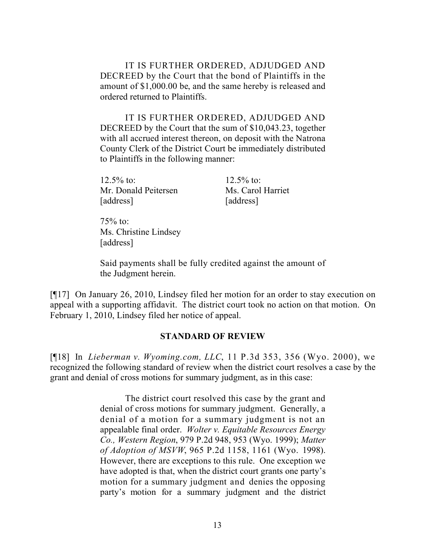IT IS FURTHER ORDERED, ADJUDGED AND DECREED by the Court that the bond of Plaintiffs in the amount of \$1,000.00 be, and the same hereby is released and ordered returned to Plaintiffs.

IT IS FURTHER ORDERED, ADJUDGED AND DECREED by the Court that the sum of \$10,043.23, together with all accrued interest thereon, on deposit with the Natrona County Clerk of the District Court be immediately distributed to Plaintiffs in the following manner:

12.5% to: 12.5% to: Mr. Donald Peitersen Ms. Carol Harriet [address] [address]

 $75%$  to: Ms. Christine Lindsey [address]

Said payments shall be fully credited against the amount of the Judgment herein.

[¶17] On January 26, 2010, Lindsey filed her motion for an order to stay execution on appeal with a supporting affidavit. The district court took no action on that motion. On February 1, 2010, Lindsey filed her notice of appeal.

### **STANDARD OF REVIEW**

[¶18] In *Lieberman v. Wyoming.com, LLC*, 11 P.3d 353, 356 (Wyo. 2000), we recognized the following standard of review when the district court resolves a case by the grant and denial of cross motions for summary judgment, as in this case:

> The district court resolved this case by the grant and denial of cross motions for summary judgment. Generally, a denial of a motion for a summary judgment is not an appealable final order. *Wolter v. Equitable Resources Energy Co., Western Region*, 979 P.2d 948, 953 (Wyo. 1999); *Matter of Adoption of MSVW*, 965 P.2d 1158, 1161 (Wyo. 1998). However, there are exceptions to this rule. One exception we have adopted is that, when the district court grants one party's motion for a summary judgment and denies the opposing party's motion for a summary judgment and the district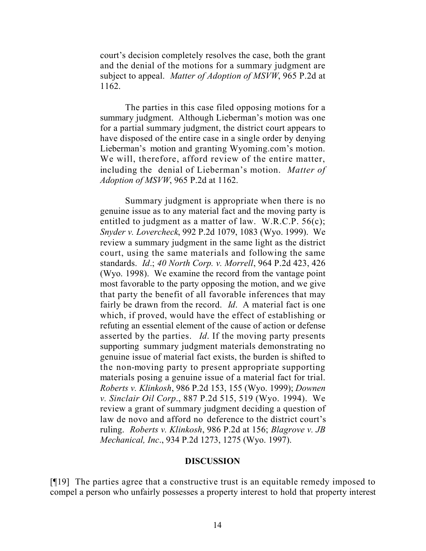court's decision completely resolves the case, both the grant and the denial of the motions for a summary judgment are subject to appeal. *Matter of Adoption of MSVW*, 965 P.2d at 1162.

The parties in this case filed opposing motions for a summary judgment. Although Lieberman's motion was one for a partial summary judgment, the district court appears to have disposed of the entire case in a single order by denying Lieberman's motion and granting Wyoming.com's motion. We will, therefore, afford review of the entire matter, including the denial of Lieberman's motion. *Matter of Adoption of MSVW*, 965 P.2d at 1162.

Summary judgment is appropriate when there is no genuine issue as to any material fact and the moving party is entitled to judgment as a matter of law. W.R.C.P. 56(c); *Snyder v. Lovercheck*, 992 P.2d 1079, 1083 (Wyo. 1999). We review a summary judgment in the same light as the district court, using the same materials and following the same standards. *Id*.; *40 North Corp. v. Morrell*, 964 P.2d 423, 426 (Wyo. 1998). We examine the record from the vantage point most favorable to the party opposing the motion, and we give that party the benefit of all favorable inferences that may fairly be drawn from the record. *Id*. A material fact is one which, if proved, would have the effect of establishing or refuting an essential element of the cause of action or defense asserted by the parties. *Id*. If the moving party presents supporting summary judgment materials demonstrating no genuine issue of material fact exists, the burden is shifted to the non-moving party to present appropriate supporting materials posing a genuine issue of a material fact for trial. *Roberts v. Klinkosh*, 986 P.2d 153, 155 (Wyo. 1999); *Downen v. Sinclair Oil Corp*., 887 P.2d 515, 519 (Wyo. 1994). We review a grant of summary judgment deciding a question of law de novo and afford no deference to the district court's ruling. *Roberts v. Klinkosh*, 986 P.2d at 156; *Blagrove v. JB Mechanical, Inc*., 934 P.2d 1273, 1275 (Wyo. 1997).

#### **DISCUSSION**

[¶19] The parties agree that a constructive trust is an equitable remedy imposed to compel a person who unfairly possesses a property interest to hold that property interest